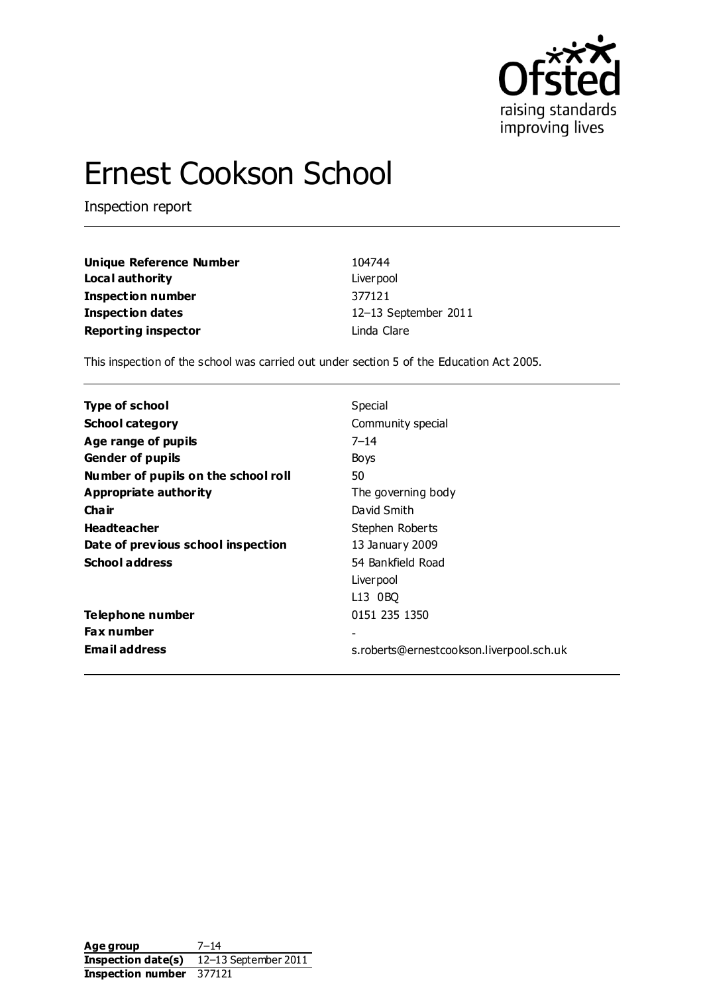

# Ernest Cookson School

Inspection report

| <b>Unique Reference Number</b> | 104744               |
|--------------------------------|----------------------|
| Local authority                | Liver pool           |
| Inspection number              | 377121               |
| Inspection dates               | 12-13 September 2011 |
| <b>Reporting inspector</b>     | Linda Clare          |

This inspection of the school was carried out under section 5 of the Education Act 2005.

| Type of school                      | Special                                  |
|-------------------------------------|------------------------------------------|
| <b>School category</b>              | Community special                        |
| Age range of pupils                 | $7 - 14$                                 |
| <b>Gender of pupils</b>             | Boys                                     |
| Number of pupils on the school roll | 50                                       |
| Appropriate authority               | The governing body                       |
| Cha ir                              | David Smith                              |
| <b>Headteacher</b>                  | Stephen Roberts                          |
| Date of previous school inspection  | 13 January 2009                          |
| <b>School address</b>               | 54 Bankfield Road                        |
|                                     | Liver pool                               |
|                                     | L13 0BO                                  |
| Telephone number                    | 0151 235 1350                            |
| <b>Fax number</b>                   |                                          |
| <b>Email address</b>                | s.roberts@ernestcookson.liverpool.sch.uk |

**Age group** 7–14 **Inspection date(s)** 12–13 September 2011 **Inspection number** 377121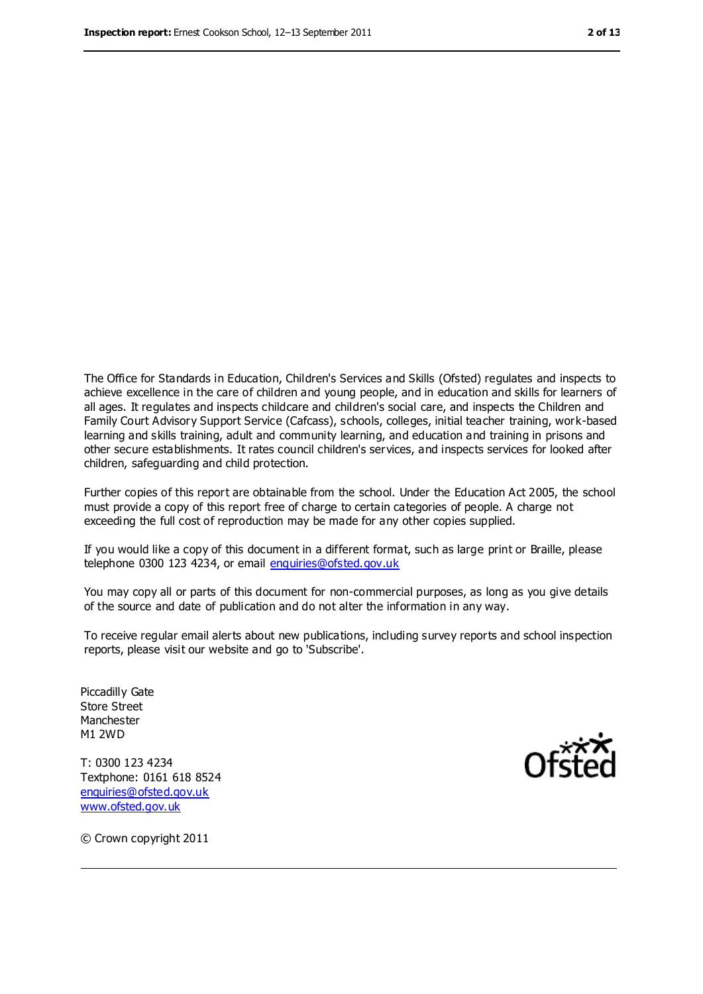The Office for Standards in Education, Children's Services and Skills (Ofsted) regulates and inspects to achieve excellence in the care of children and young people, and in education and skills for learners of all ages. It regulates and inspects childcare and children's social care, and inspects the Children and Family Court Advisory Support Service (Cafcass), schools, colleges, initial teacher training, work-based learning and skills training, adult and community learning, and education and training in prisons and other secure establishments. It rates council children's services, and inspects services for looked after children, safeguarding and child protection.

Further copies of this report are obtainable from the school. Under the Education Act 2005, the school must provide a copy of this report free of charge to certain categories of people. A charge not exceeding the full cost of reproduction may be made for any other copies supplied.

If you would like a copy of this document in a different format, such as large print or Braille, please telephone 0300 123 4234, or email [enquiries@ofsted.gov.uk](mailto:enquiries@ofsted.gov.uk)

You may copy all or parts of this document for non-commercial purposes, as long as you give details of the source and date of publication and do not alter the information in any way.

To receive regular email alerts about new publications, including survey reports and school inspection reports, please visit our website and go to 'Subscribe'.

Piccadilly Gate Store Street Manchester M1 2WD

T: 0300 123 4234 Textphone: 0161 618 8524 [enquiries@ofsted.gov.uk](mailto:enquiries@ofsted.gov.uk) [www.ofsted.gov.uk](http://www.ofsted.gov.uk/)



© Crown copyright 2011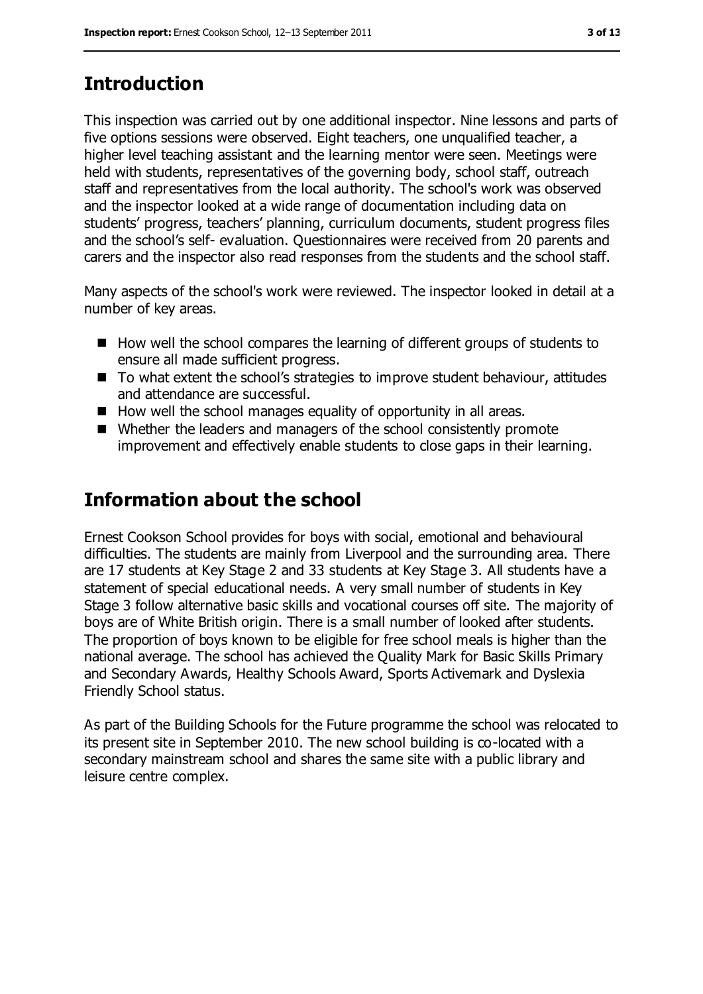# **Introduction**

This inspection was carried out by one additional inspector. Nine lessons and parts of five options sessions were observed. Eight teachers, one unqualified teacher, a higher level teaching assistant and the learning mentor were seen. Meetings were held with students, representatives of the governing body, school staff, outreach staff and representatives from the local authority. The school's work was observed and the inspector looked at a wide range of documentation including data on students' progress, teachers' planning, curriculum documents, student progress files and the school's self- evaluation. Questionnaires were received from 20 parents and carers and the inspector also read responses from the students and the school staff.

Many aspects of the school's work were reviewed. The inspector looked in detail at a number of key areas.

- How well the school compares the learning of different groups of students to ensure all made sufficient progress.
- To what extent the school's strategies to improve student behaviour, attitudes and attendance are successful.
- How well the school manages equality of opportunity in all areas.
- Whether the leaders and managers of the school consistently promote improvement and effectively enable students to close gaps in their learning.

# **Information about the school**

Ernest Cookson School provides for boys with social, emotional and behavioural difficulties. The students are mainly from Liverpool and the surrounding area. There are 17 students at Key Stage 2 and 33 students at Key Stage 3. All students have a statement of special educational needs. A very small number of students in Key Stage 3 follow alternative basic skills and vocational courses off site. The majority of boys are of White British origin. There is a small number of looked after students. The proportion of boys known to be eligible for free school meals is higher than the national average. The school has achieved the Quality Mark for Basic Skills Primary and Secondary Awards, Healthy Schools Award, Sports Activemark and Dyslexia Friendly School status.

As part of the Building Schools for the Future programme the school was relocated to its present site in September 2010. The new school building is co-located with a secondary mainstream school and shares the same site with a public library and leisure centre complex.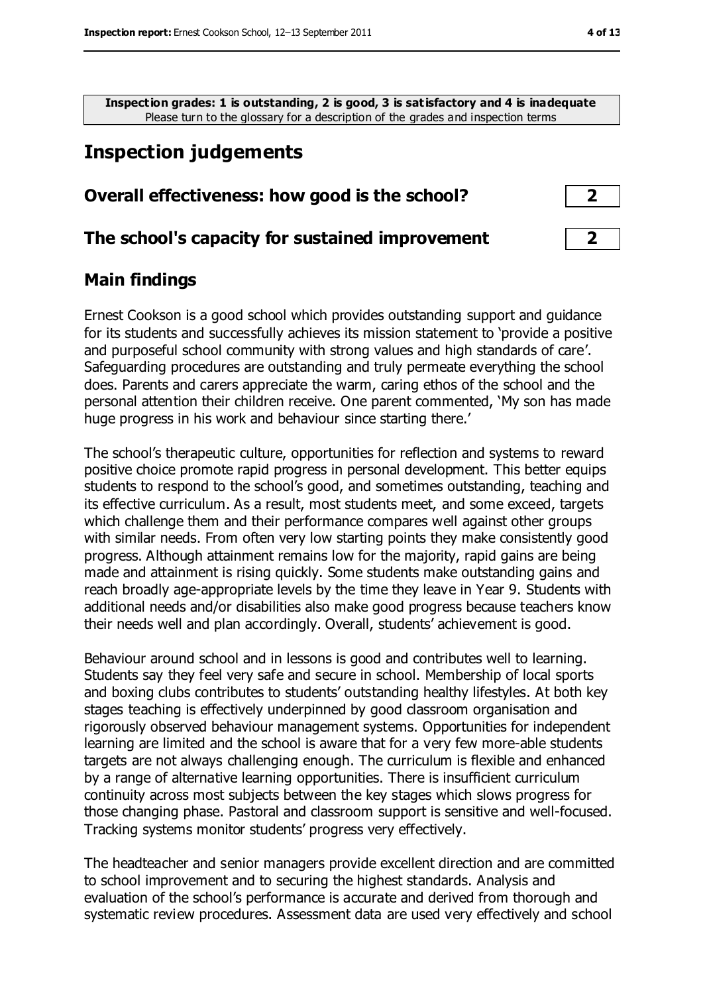**Inspection grades: 1 is outstanding, 2 is good, 3 is satisfactory and 4 is inadequate** Please turn to the glossary for a description of the grades and inspection terms

# **Inspection judgements**

### **Overall effectiveness: how good is the school? 2**

#### **The school's capacity for sustained improvement 2**

### **Main findings**

Ernest Cookson is a good school which provides outstanding support and guidance for its students and successfully achieves its mission statement to 'provide a positive and purposeful school community with strong values and high standards of care'. Safeguarding procedures are outstanding and truly permeate everything the school does. Parents and carers appreciate the warm, caring ethos of the school and the personal attention their children receive. One parent commented, 'My son has made huge progress in his work and behaviour since starting there.'

The school's therapeutic culture, opportunities for reflection and systems to reward positive choice promote rapid progress in personal development. This better equips students to respond to the school's good, and sometimes outstanding, teaching and its effective curriculum. As a result, most students meet, and some exceed, targets which challenge them and their performance compares well against other groups with similar needs. From often very low starting points they make consistently good progress. Although attainment remains low for the majority, rapid gains are being made and attainment is rising quickly. Some students make outstanding gains and reach broadly age-appropriate levels by the time they leave in Year 9. Students with additional needs and/or disabilities also make good progress because teachers know their needs well and plan accordingly. Overall, students' achievement is good.

Behaviour around school and in lessons is good and contributes well to learning. Students say they feel very safe and secure in school. Membership of local sports and boxing clubs contributes to students' outstanding healthy lifestyles. At both key stages teaching is effectively underpinned by good classroom organisation and rigorously observed behaviour management systems. Opportunities for independent learning are limited and the school is aware that for a very few more-able students targets are not always challenging enough. The curriculum is flexible and enhanced by a range of alternative learning opportunities. There is insufficient curriculum continuity across most subjects between the key stages which slows progress for those changing phase. Pastoral and classroom support is sensitive and well-focused. Tracking systems monitor students' progress very effectively.

The headteacher and senior managers provide excellent direction and are committed to school improvement and to securing the highest standards. Analysis and evaluation of the school's performance is accurate and derived from thorough and systematic review procedures. Assessment data are used very effectively and school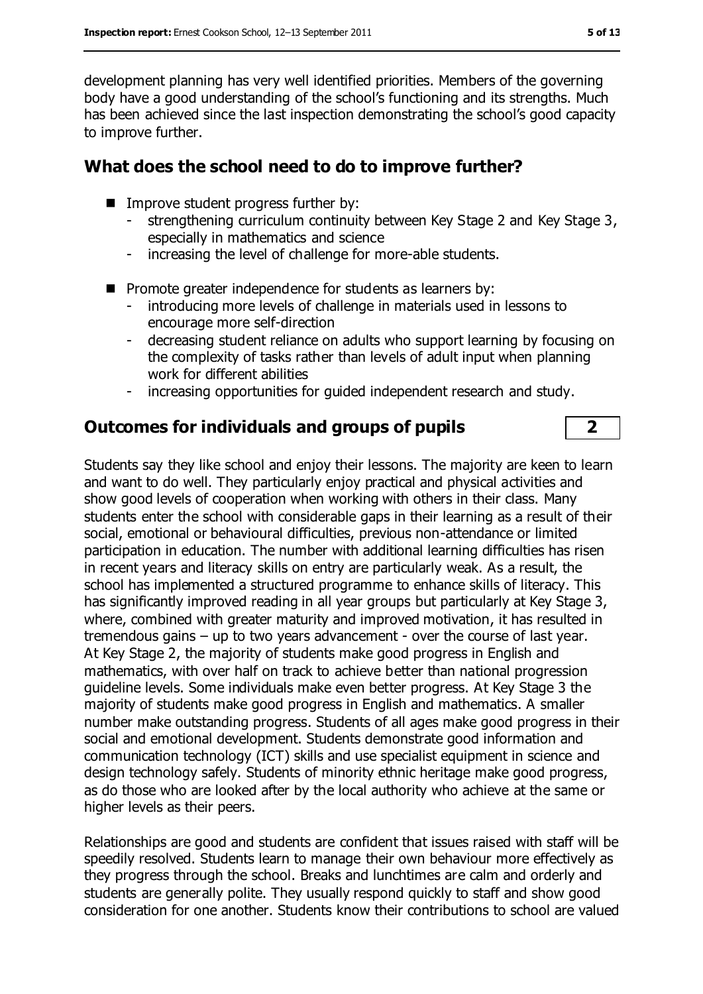development planning has very well identified priorities. Members of the governing body have a good understanding of the school's functioning and its strengths. Much has been achieved since the last inspection demonstrating the school's good capacity to improve further.

### **What does the school need to do to improve further?**

- **IMPROVE STARK IN PROGRESS Further by:** 
	- strengthening curriculum continuity between Key Stage 2 and Key Stage 3, especially in mathematics and science
	- increasing the level of challenge for more-able students.
- $\blacksquare$  Promote greater independence for students as learners by:
	- introducing more levels of challenge in materials used in lessons to encourage more self-direction
	- decreasing student reliance on adults who support learning by focusing on the complexity of tasks rather than levels of adult input when planning work for different abilities
	- increasing opportunities for guided independent research and study.

## **Outcomes for individuals and groups of pupils 2**

Students say they like school and enjoy their lessons. The majority are keen to learn and want to do well. They particularly enjoy practical and physical activities and show good levels of cooperation when working with others in their class. Many students enter the school with considerable gaps in their learning as a result of their social, emotional or behavioural difficulties, previous non-attendance or limited participation in education. The number with additional learning difficulties has risen in recent years and literacy skills on entry are particularly weak. As a result, the school has implemented a structured programme to enhance skills of literacy. This has significantly improved reading in all year groups but particularly at Key Stage 3, where, combined with greater maturity and improved motivation, it has resulted in tremendous gains – up to two years advancement - over the course of last year. At Key Stage 2, the majority of students make good progress in English and mathematics, with over half on track to achieve better than national progression guideline levels. Some individuals make even better progress. At Key Stage 3 the majority of students make good progress in English and mathematics. A smaller number make outstanding progress. Students of all ages make good progress in their social and emotional development. Students demonstrate good information and communication technology (ICT) skills and use specialist equipment in science and design technology safely. Students of minority ethnic heritage make good progress, as do those who are looked after by the local authority who achieve at the same or higher levels as their peers.

Relationships are good and students are confident that issues raised with staff will be speedily resolved. Students learn to manage their own behaviour more effectively as they progress through the school. Breaks and lunchtimes are calm and orderly and students are generally polite. They usually respond quickly to staff and show good consideration for one another. Students know their contributions to school are valued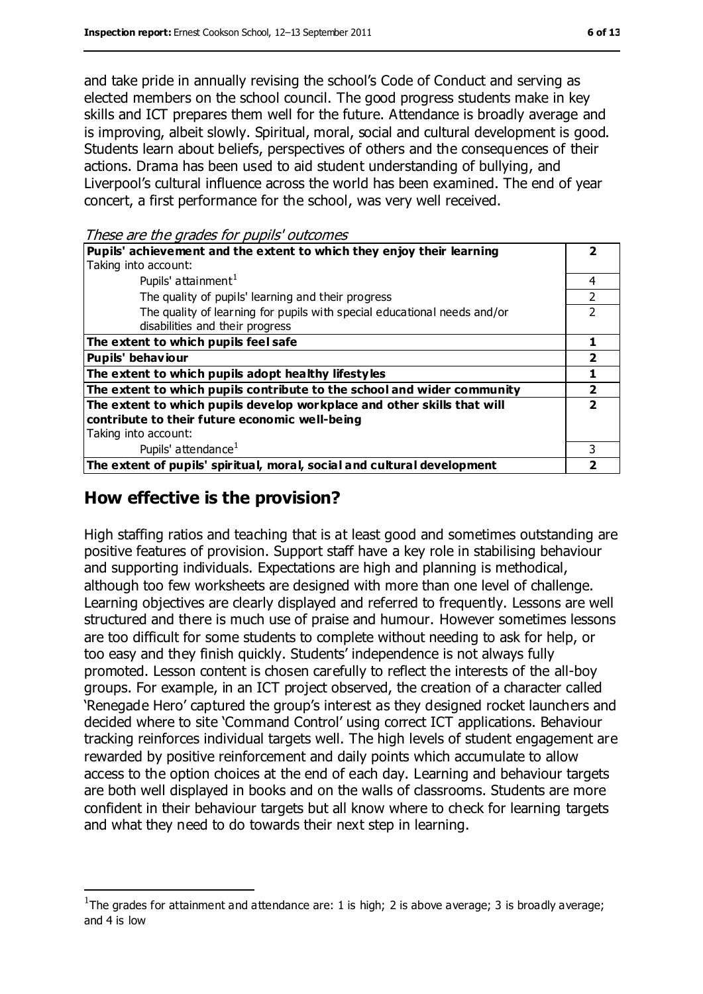and take pride in annually revising the school's Code of Conduct and serving as elected members on the school council. The good progress students make in key skills and ICT prepares them well for the future. Attendance is broadly average and is improving, albeit slowly. Spiritual, moral, social and cultural development is good. Students learn about beliefs, perspectives of others and the consequences of their actions. Drama has been used to aid student understanding of bullying, and Liverpool's cultural influence across the world has been examined. The end of year concert, a first performance for the school, was very well received.

These are the grades for pupils' outcomes

| <i>nove</i> and and grades for papils batterines                         |   |
|--------------------------------------------------------------------------|---|
| Pupils' achievement and the extent to which they enjoy their learning    |   |
| Taking into account:                                                     |   |
| Pupils' attainment <sup>1</sup>                                          | 4 |
| The quality of pupils' learning and their progress                       |   |
| The quality of learning for pupils with special educational needs and/or | C |
| disabilities and their progress                                          |   |
| The extent to which pupils feel safe                                     |   |
| <b>Pupils' behaviour</b>                                                 |   |
| The extent to which pupils adopt healthy lifestyles                      |   |
| The extent to which pupils contribute to the school and wider community  |   |
| The extent to which pupils develop workplace and other skills that will  |   |
| contribute to their future economic well-being                           |   |
| Taking into account:                                                     |   |
| Pupils' attendance <sup>1</sup>                                          | 3 |
| The extent of pupils' spiritual, moral, social and cultural development  |   |

# **How effective is the provision?**

 $\overline{a}$ 

High staffing ratios and teaching that is at least good and sometimes outstanding are positive features of provision. Support staff have a key role in stabilising behaviour and supporting individuals. Expectations are high and planning is methodical, although too few worksheets are designed with more than one level of challenge. Learning objectives are clearly displayed and referred to frequently. Lessons are well structured and there is much use of praise and humour. However sometimes lessons are too difficult for some students to complete without needing to ask for help, or too easy and they finish quickly. Students' independence is not always fully promoted. Lesson content is chosen carefully to reflect the interests of the all-boy groups. For example, in an ICT project observed, the creation of a character called 'Renegade Hero' captured the group's interest as they designed rocket launchers and decided where to site 'Command Control' using correct ICT applications. Behaviour tracking reinforces individual targets well. The high levels of student engagement are rewarded by positive reinforcement and daily points which accumulate to allow access to the option choices at the end of each day. Learning and behaviour targets are both well displayed in books and on the walls of classrooms. Students are more confident in their behaviour targets but all know where to check for learning targets and what they need to do towards their next step in learning.

<sup>&</sup>lt;sup>1</sup>The grades for attainment and attendance are: 1 is high; 2 is above average; 3 is broadly average; and 4 is low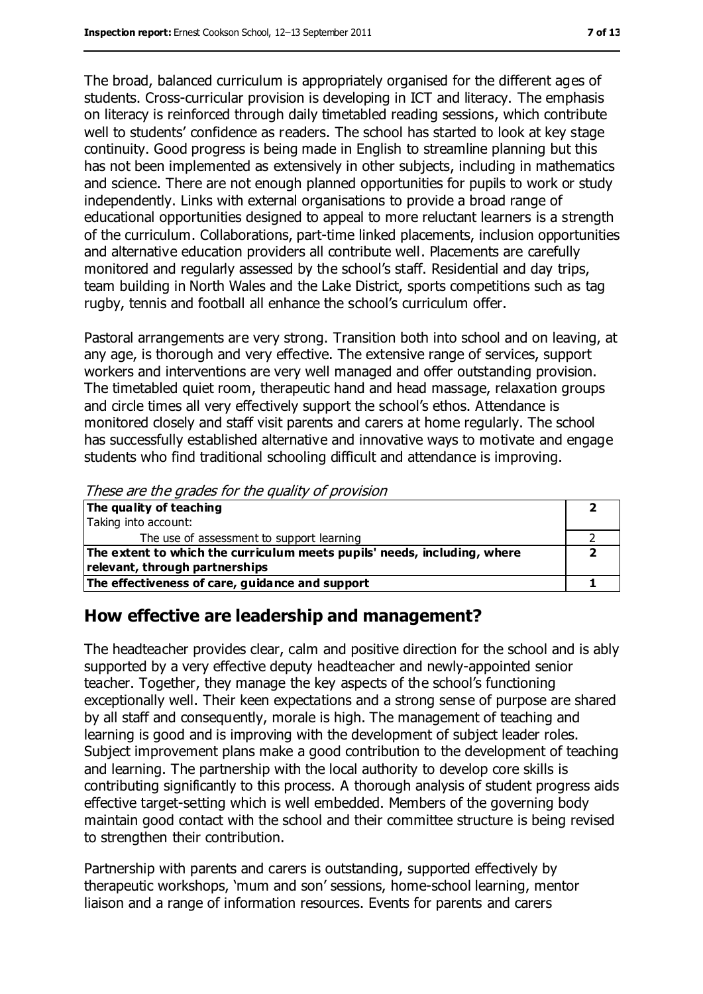The broad, balanced curriculum is appropriately organised for the different ages of students. Cross-curricular provision is developing in ICT and literacy. The emphasis on literacy is reinforced through daily timetabled reading sessions, which contribute well to students' confidence as readers. The school has started to look at key stage continuity. Good progress is being made in English to streamline planning but this has not been implemented as extensively in other subjects, including in mathematics and science. There are not enough planned opportunities for pupils to work or study independently. Links with external organisations to provide a broad range of educational opportunities designed to appeal to more reluctant learners is a strength of the curriculum. Collaborations, part-time linked placements, inclusion opportunities and alternative education providers all contribute well. Placements are carefully monitored and regularly assessed by the school's staff. Residential and day trips, team building in North Wales and the Lake District, sports competitions such as tag rugby, tennis and football all enhance the school's curriculum offer.

Pastoral arrangements are very strong. Transition both into school and on leaving, at any age, is thorough and very effective. The extensive range of services, support workers and interventions are very well managed and offer outstanding provision. The timetabled quiet room, therapeutic hand and head massage, relaxation groups and circle times all very effectively support the school's ethos. Attendance is monitored closely and staff visit parents and carers at home regularly. The school has successfully established alternative and innovative ways to motivate and engage students who find traditional schooling difficult and attendance is improving.

| These are the grades for the guanty of provision                         |  |
|--------------------------------------------------------------------------|--|
| The quality of teaching                                                  |  |
| Taking into account:                                                     |  |
| The use of assessment to support learning                                |  |
| The extent to which the curriculum meets pupils' needs, including, where |  |
| relevant, through partnerships                                           |  |
| The effectiveness of care, guidance and support                          |  |

#### These are the grades for the quality of provision

### **How effective are leadership and management?**

The headteacher provides clear, calm and positive direction for the school and is ably supported by a very effective deputy headteacher and newly-appointed senior teacher. Together, they manage the key aspects of the school's functioning exceptionally well. Their keen expectations and a strong sense of purpose are shared by all staff and consequently, morale is high. The management of teaching and learning is good and is improving with the development of subject leader roles. Subject improvement plans make a good contribution to the development of teaching and learning. The partnership with the local authority to develop core skills is contributing significantly to this process. A thorough analysis of student progress aids effective target-setting which is well embedded. Members of the governing body maintain good contact with the school and their committee structure is being revised to strengthen their contribution.

Partnership with parents and carers is outstanding, supported effectively by therapeutic workshops, 'mum and son' sessions, home-school learning, mentor liaison and a range of information resources. Events for parents and carers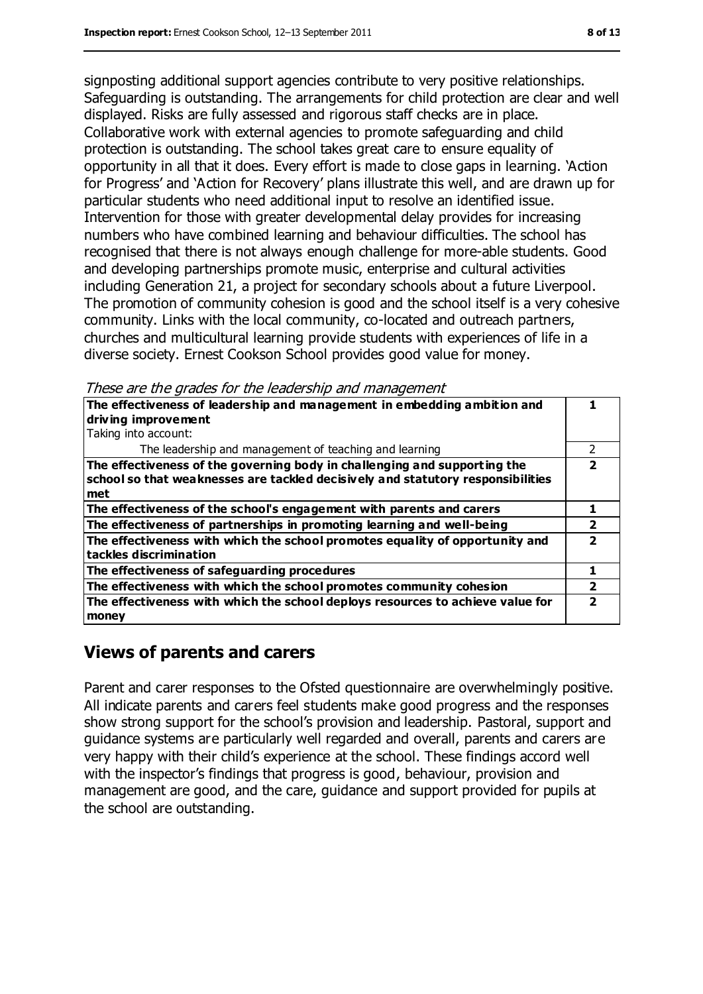signposting additional support agencies contribute to very positive relationships. Safeguarding is outstanding. The arrangements for child protection are clear and well displayed. Risks are fully assessed and rigorous staff checks are in place. Collaborative work with external agencies to promote safeguarding and child protection is outstanding. The school takes great care to ensure equality of opportunity in all that it does. Every effort is made to close gaps in learning. 'Action for Progress' and 'Action for Recovery' plans illustrate this well, and are drawn up for particular students who need additional input to resolve an identified issue. Intervention for those with greater developmental delay provides for increasing numbers who have combined learning and behaviour difficulties. The school has recognised that there is not always enough challenge for more-able students. Good and developing partnerships promote music, enterprise and cultural activities including Generation 21, a project for secondary schools about a future Liverpool. The promotion of community cohesion is good and the school itself is a very cohesive community. Links with the local community, co-located and outreach partners, churches and multicultural learning provide students with experiences of life in a diverse society. Ernest Cookson School provides good value for money.

These are the grades for the leadership and management

| The effectiveness of leadership and management in embedding ambition and        |   |
|---------------------------------------------------------------------------------|---|
| driving improvement                                                             |   |
| Taking into account:                                                            |   |
| The leadership and management of teaching and learning                          | 2 |
| The effectiveness of the governing body in challenging and supporting the       | 7 |
| school so that weaknesses are tackled decisively and statutory responsibilities |   |
| met                                                                             |   |
| The effectiveness of the school's engagement with parents and carers            |   |
| The effectiveness of partnerships in promoting learning and well-being          | 2 |
| The effectiveness with which the school promotes equality of opportunity and    |   |
| tackles discrimination                                                          |   |
| The effectiveness of safeguarding procedures                                    |   |
| The effectiveness with which the school promotes community cohesion             |   |
| The effectiveness with which the school deploys resources to achieve value for  |   |
| money                                                                           |   |

# **Views of parents and carers**

Parent and carer responses to the Ofsted questionnaire are overwhelmingly positive. All indicate parents and carers feel students make good progress and the responses show strong support for the school's provision and leadership. Pastoral, support and guidance systems are particularly well regarded and overall, parents and carers are very happy with their child's experience at the school. These findings accord well with the inspector's findings that progress is good, behaviour, provision and management are good, and the care, guidance and support provided for pupils at the school are outstanding.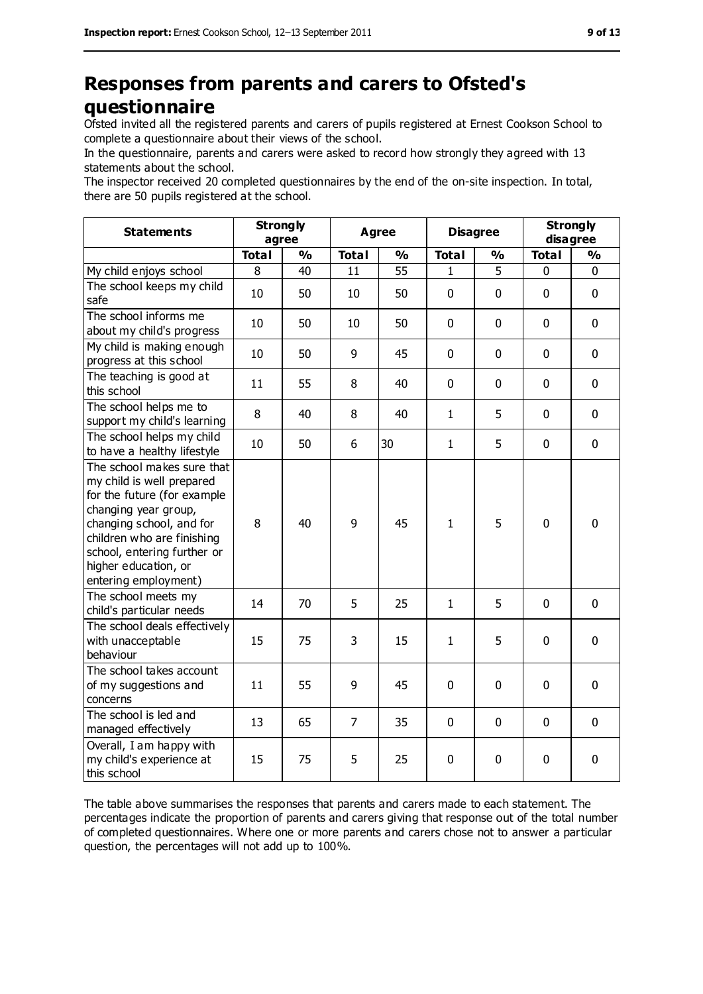# **Responses from parents and carers to Ofsted's questionnaire**

Ofsted invited all the registered parents and carers of pupils registered at Ernest Cookson School to complete a questionnaire about their views of the school.

In the questionnaire, parents and carers were asked to record how strongly they agreed with 13 statements about the school.

The inspector received 20 completed questionnaires by the end of the on-site inspection. In total, there are 50 pupils registered at the school.

| <b>Statements</b>                                                                                                                                                                                                                                       | <b>Strongly</b><br>agree |               | <b>Agree</b>   |               | <b>Disagree</b> |               | <b>Strongly</b><br>disagree |               |
|---------------------------------------------------------------------------------------------------------------------------------------------------------------------------------------------------------------------------------------------------------|--------------------------|---------------|----------------|---------------|-----------------|---------------|-----------------------------|---------------|
|                                                                                                                                                                                                                                                         | <b>Total</b>             | $\frac{0}{0}$ | <b>Total</b>   | $\frac{1}{2}$ | <b>Total</b>    | $\frac{1}{2}$ | <b>Total</b>                | $\frac{9}{6}$ |
| My child enjoys school                                                                                                                                                                                                                                  | 8                        | 40            | 11             | 55            | 1               | 5             | $\mathbf 0$                 | 0             |
| The school keeps my child<br>safe                                                                                                                                                                                                                       | 10                       | 50            | 10             | 50            | 0               | $\mathbf 0$   | $\mathbf 0$                 | 0             |
| The school informs me<br>about my child's progress                                                                                                                                                                                                      | 10                       | 50            | 10             | 50            | $\mathbf 0$     | $\mathbf 0$   | $\mathbf 0$                 | 0             |
| My child is making enough<br>progress at this school                                                                                                                                                                                                    | 10                       | 50            | 9              | 45            | $\mathbf 0$     | $\mathbf 0$   | $\mathbf 0$                 | 0             |
| The teaching is good at<br>this school                                                                                                                                                                                                                  | 11                       | 55            | 8              | 40            | $\mathbf 0$     | $\mathbf 0$   | $\mathbf 0$                 | 0             |
| The school helps me to<br>support my child's learning                                                                                                                                                                                                   | 8                        | 40            | 8              | 40            | $\mathbf{1}$    | 5             | $\mathbf 0$                 | 0             |
| The school helps my child<br>to have a healthy lifestyle                                                                                                                                                                                                | 10                       | 50            | 6              | 30            | $\mathbf{1}$    | 5             | $\mathbf 0$                 | 0             |
| The school makes sure that<br>my child is well prepared<br>for the future (for example<br>changing year group,<br>changing school, and for<br>children who are finishing<br>school, entering further or<br>higher education, or<br>entering employment) | 8                        | 40            | 9              | 45            | $\mathbf{1}$    | 5             | $\mathbf 0$                 | 0             |
| The school meets my<br>child's particular needs                                                                                                                                                                                                         | 14                       | 70            | 5              | 25            | $\mathbf{1}$    | 5             | $\mathbf 0$                 | 0             |
| The school deals effectively<br>with unacceptable<br>behaviour                                                                                                                                                                                          | 15                       | 75            | 3              | 15            | $\mathbf{1}$    | 5             | $\mathbf 0$                 | 0             |
| The school takes account<br>of my suggestions and<br>concerns                                                                                                                                                                                           | 11                       | 55            | 9              | 45            | 0               | 0             | $\mathbf 0$                 | 0             |
| The school is led and<br>managed effectively                                                                                                                                                                                                            | 13                       | 65            | $\overline{7}$ | 35            | 0               | $\mathbf 0$   | $\mathbf 0$                 | 0             |
| Overall, I am happy with<br>my child's experience at<br>this school                                                                                                                                                                                     | 15                       | 75            | 5              | 25            | 0               | 0             | $\mathbf 0$                 | $\mathbf 0$   |

The table above summarises the responses that parents and carers made to each statement. The percentages indicate the proportion of parents and carers giving that response out of the total number of completed questionnaires. Where one or more parents and carers chose not to answer a particular question, the percentages will not add up to 100%.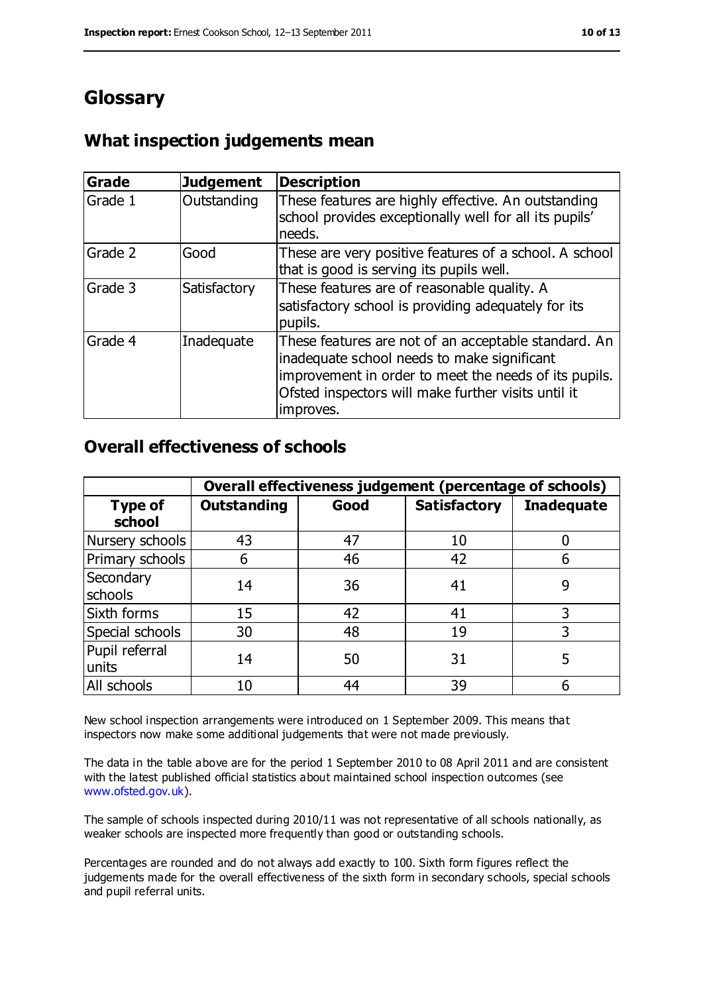# **Glossary**

# **What inspection judgements mean**

| Grade   | <b>Judgement</b> | <b>Description</b>                                                                                                                                                                                                               |
|---------|------------------|----------------------------------------------------------------------------------------------------------------------------------------------------------------------------------------------------------------------------------|
| Grade 1 | Outstanding      | These features are highly effective. An outstanding<br>school provides exceptionally well for all its pupils'<br>needs.                                                                                                          |
| Grade 2 | Good             | These are very positive features of a school. A school<br>that is good is serving its pupils well.                                                                                                                               |
| Grade 3 | Satisfactory     | These features are of reasonable quality. A<br>satisfactory school is providing adequately for its<br>pupils.                                                                                                                    |
| Grade 4 | Inadequate       | These features are not of an acceptable standard. An<br>inadequate school needs to make significant<br>improvement in order to meet the needs of its pupils.<br>Ofsted inspectors will make further visits until it<br>improves. |

### **Overall effectiveness of schools**

|                         | Overall effectiveness judgement (percentage of schools) |      |                     |                   |
|-------------------------|---------------------------------------------------------|------|---------------------|-------------------|
| Type of<br>school       | <b>Outstanding</b>                                      | Good | <b>Satisfactory</b> | <b>Inadequate</b> |
| Nursery schools         | 43                                                      | 47   | 10                  |                   |
| Primary schools         | 6                                                       | 46   | 42                  |                   |
| Secondary<br>schools    | 14                                                      | 36   | 41                  | 9                 |
| Sixth forms             | 15                                                      | 42   | 41                  | 3                 |
| Special schools         | 30                                                      | 48   | 19                  | 3                 |
| Pupil referral<br>units | 14                                                      | 50   | 31                  |                   |
| All schools             | 10                                                      | 44   | 39                  |                   |

New school inspection arrangements were introduced on 1 September 2009. This means that inspectors now make some additional judgements that were not made previously.

The data in the table above are for the period 1 September 2010 to 08 April 2011 and are consistent with the latest published official statistics about maintained school inspection outcomes (see [www.ofsted.gov.uk\)](http://www.ofsted.gov.uk/).

The sample of schools inspected during 2010/11 was not representative of all schools nationally, as weaker schools are inspected more frequently than good or outstanding schools.

Percentages are rounded and do not always add exactly to 100. Sixth form figures reflect the judgements made for the overall effectiveness of the sixth form in secondary schools, special schools and pupil referral units.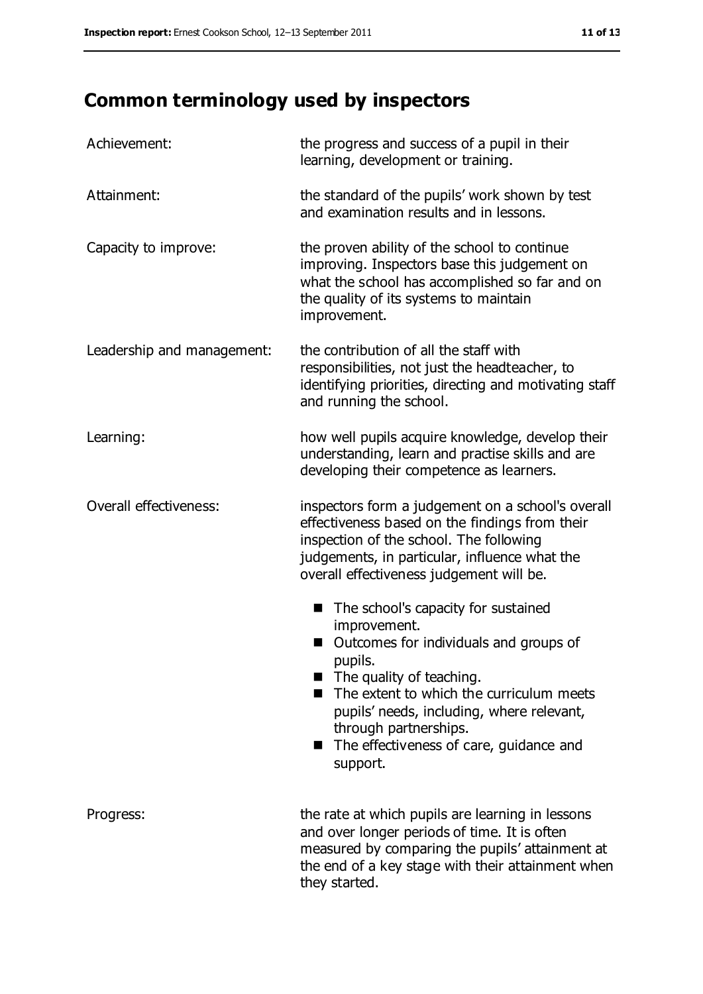# **Common terminology used by inspectors**

| Achievement:               | the progress and success of a pupil in their<br>learning, development or training.                                                                                                                                                                                                                                                            |  |  |
|----------------------------|-----------------------------------------------------------------------------------------------------------------------------------------------------------------------------------------------------------------------------------------------------------------------------------------------------------------------------------------------|--|--|
| Attainment:                | the standard of the pupils' work shown by test<br>and examination results and in lessons.                                                                                                                                                                                                                                                     |  |  |
| Capacity to improve:       | the proven ability of the school to continue<br>improving. Inspectors base this judgement on<br>what the school has accomplished so far and on<br>the quality of its systems to maintain<br>improvement.                                                                                                                                      |  |  |
| Leadership and management: | the contribution of all the staff with<br>responsibilities, not just the headteacher, to<br>identifying priorities, directing and motivating staff<br>and running the school.                                                                                                                                                                 |  |  |
| Learning:                  | how well pupils acquire knowledge, develop their<br>understanding, learn and practise skills and are<br>developing their competence as learners.                                                                                                                                                                                              |  |  |
| Overall effectiveness:     | inspectors form a judgement on a school's overall<br>effectiveness based on the findings from their<br>inspection of the school. The following<br>judgements, in particular, influence what the<br>overall effectiveness judgement will be.                                                                                                   |  |  |
|                            | The school's capacity for sustained<br>ш<br>improvement.<br>Outcomes for individuals and groups of<br>ш<br>pupils.<br>$\blacksquare$ The quality of teaching.<br>The extent to which the curriculum meets<br>pupils' needs, including, where relevant,<br>through partnerships.<br>The effectiveness of care, guidance and<br>. .<br>support. |  |  |
| Progress:                  | the rate at which pupils are learning in lessons<br>and over longer periods of time. It is often<br>measured by comparing the pupils' attainment at<br>the end of a key stage with their attainment when<br>they started.                                                                                                                     |  |  |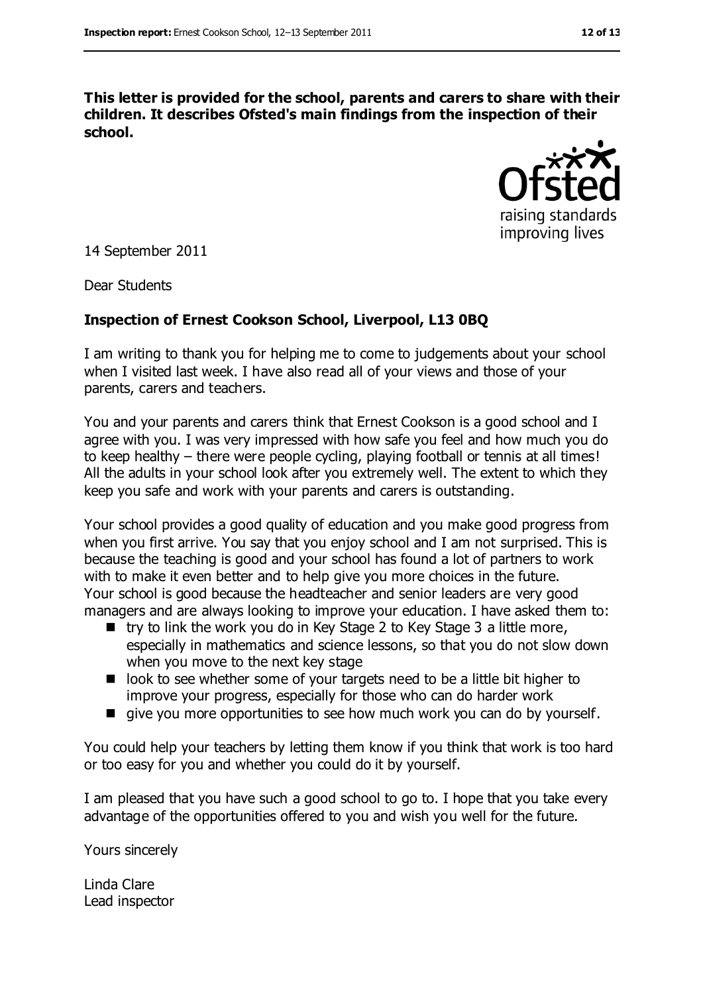**This letter is provided for the school, parents and carers to share with their children. It describes Ofsted's main findings from the inspection of their school.**



14 September 2011

Dear Students

#### **Inspection of Ernest Cookson School, Liverpool, L13 0BQ**

I am writing to thank you for helping me to come to judgements about your school when I visited last week. I have also read all of your views and those of your parents, carers and teachers.

You and your parents and carers think that Ernest Cookson is a good school and I agree with you. I was very impressed with how safe you feel and how much you do to keep healthy – there were people cycling, playing football or tennis at all times! All the adults in your school look after you extremely well. The extent to which they keep you safe and work with your parents and carers is outstanding.

Your school provides a good quality of education and you make good progress from when you first arrive. You say that you enjoy school and I am not surprised. This is because the teaching is good and your school has found a lot of partners to work with to make it even better and to help give you more choices in the future. Your school is good because the headteacher and senior leaders are very good managers and are always looking to improve your education. I have asked them to:

- $\blacksquare$  try to link the work you do in Key Stage 2 to Key Stage 3 a little more, especially in mathematics and science lessons, so that you do not slow down when you move to the next key stage
- look to see whether some of your targets need to be a little bit higher to improve your progress, especially for those who can do harder work
- give you more opportunities to see how much work you can do by yourself.

You could help your teachers by letting them know if you think that work is too hard or too easy for you and whether you could do it by yourself.

I am pleased that you have such a good school to go to. I hope that you take every advantage of the opportunities offered to you and wish you well for the future.

Yours sincerely

Linda Clare Lead inspector